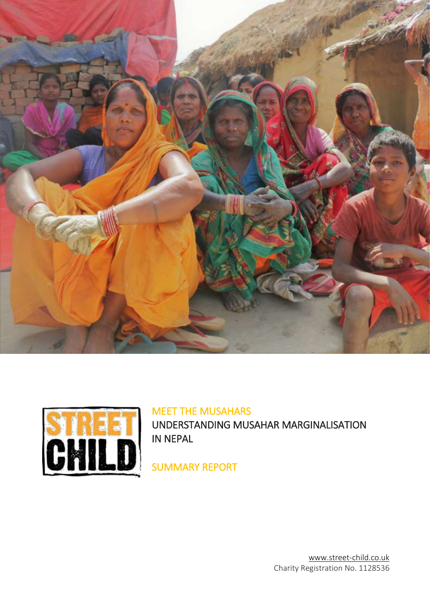



# MEET THE MUSAHARS

UNDERSTANDING MUSAHAR MARGINALISATION IN NEPAL

SUMMARY REPORT

www.street-child.co.uk Charity Registration No. 1128536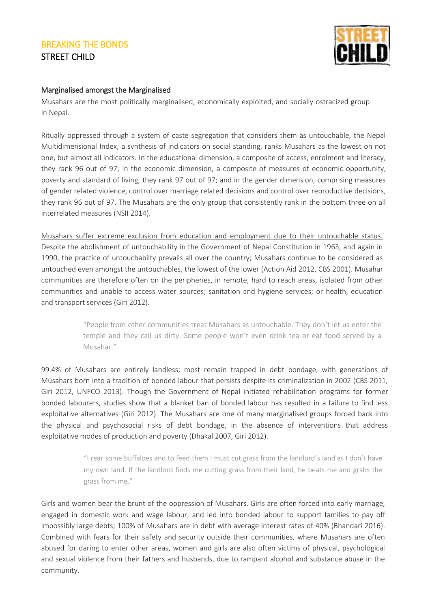

#### Marginalised amongst the Marginalised

Musahars are the most politically marginalised, economically exploited, and socially ostracized group in Nepal.

Ritually oppressed through a system of caste segregation that considers them as untouchable, the Nepal Multidimensional Index, a synthesis of indicators on social standing, ranks Musahars as the lowest on not one, but almost all indicators. In the educational dimension, a composite of access, enrolment and literacy, they rank 96 out of 97; in the economic dimension, a composite of measures of economic opportunity, poverty and standard of living, they rank 97 out of 97; and in the gender dimension, comprising measures of gender related violence, control over marriage related decisions and control over reproductive decisions, they rank 96 out of 97. The Musahars are the only group that consistently rank in the bottom three on all interrelated measures (NSII 2014).

Musahars suffer extreme exclusion from education and employment due to their untouchable status. Despite the abolishment of untouchability in the Government of Nepal Constitution in 1963, and again in 1990, the practice of untouchabilty prevails all over the country; Musahars continue to be considered as untouched even amongst the untouchables, the lowest of the lower (Action Aid 2012, CBS 2001). Musahar communities are therefore often on the peripheries, in remote, hard to reach areas, isolated from other communities and unable to access water sources; sanitation and hygiene services; or health, education and transport services (Giri 2012).

> "People from other communities treat Musahars as untouchable. They don't let us enter the temple and they call us dirty. Some people won't even drink tea or eat food served by a Musahar."

99.4% of Musahars are entirely landless; most remain trapped in debt bondage, with generations of Musahars born into a tradition of bonded labour that persists despite its criminalization in 2002 (CBS 2011, Giri 2012, UNFCO 2013). Though the Government of Nepal initiated rehabilitation programs for former bonded labourers, studies show that a blanket ban of bonded labour has resulted in a failure to find less exploitative alternatives (Giri 2012). The Musahars are one of many marginalised groups forced back into the physical and psychosocial risks of debt bondage, in the absence of interventions that address exploitative modes of production and poverty (Dhakal 2007, Giri 2012).

> "I rear some buffaloes and to feed them I must cut grass from the landlord's land as I don't have my own land. If the landlord finds me cutting grass from their land, he beats me and grabs the grass from me."

Girls and women bear the brunt of the oppression of Musahars. Girls are often forced into early marriage, engaged in domestic work and wage labour, and led into bonded labour to support families to pay off impossibly large debts; 100% of Musahars are in debt with average interest rates of 40% (Bhandari 2016). Combined with fears for their safety and security outside their communities, where Musahars are often abused for daring to enter other areas, women and girls are also often victims of physical, psychological and sexual violence from their fathers and husbands, due to rampant alcohol and substance abuse in the community.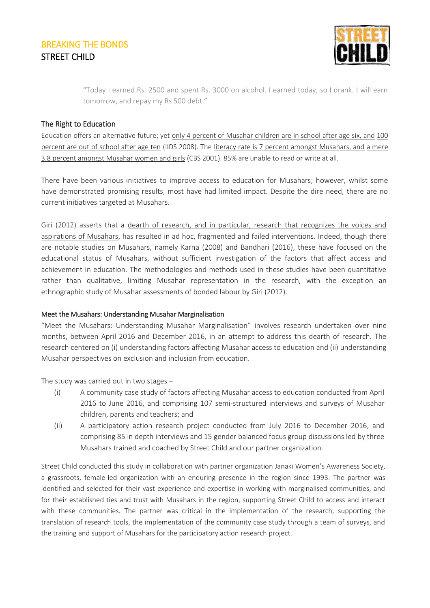

"Today I earned Rs. 2500 and spent Rs. 3000 on alcohol. I earned today, so I drank. I will earn tomorrow, and repay my Rs 500 debt."

#### The Right to Education

Education offers an alternative future; yet only 4 percent of Musahar children are in school after age six, and 100 percent are out of school after age ten (IIDS 2008). The literacy rate is 7 percent amongst Musahars, and a mere 3.8 percent amongst Musahar women and girls (CBS 2001). 85% are unable to read or write at all.

There have been various initiatives to improve access to education for Musahars; however, whilst some have demonstrated promising results, most have had limited impact. Despite the dire need, there are no current initiatives targeted at Musahars.

Giri (2012) asserts that a dearth of research, and in particular, research that recognizes the voices and aspirations of Musahars, has resulted in ad hoc, fragmented and failed interventions. Indeed, though there are notable studies on Musahars, namely Karna (2008) and Bandhari (2016), these have focused on the educational status of Musahars, without sufficient investigation of the factors that affect access and achievement in education. The methodologies and methods used in these studies have been quantitative rather than qualitative, limiting Musahar representation in the research, with the exception an ethnographic study of Musahar assessments of bonded labour by Giri (2012).

#### Meet the Musahars: Understanding Musahar Marginalisation

"Meet the Musahars: Understanding Musahar Marginalisation" involves research undertaken over nine months, between April 2016 and December 2016, in an attempt to address this dearth of research. The research centered on (i) understanding factors affecting Musahar access to education and (ii) understanding Musahar perspectives on exclusion and inclusion from education.

The study was carried out in two stages –

- (i) A community case study of factors affecting Musahar access to education conducted from April 2016 to June 2016, and comprising 107 semi-structured interviews and surveys of Musahar children, parents and teachers; and
- (ii) A participatory action research project conducted from July 2016 to December 2016, and comprising 85 in depth interviews and 15 gender balanced focus group discussions led by three Musahars trained and coached by Street Child and our partner organization.

Street Child conducted this study in collaboration with partner organization Janaki Women's Awareness Society, a grassroots, female-led organization with an enduring presence in the region since 1993. The partner was identified and selected for their vast experience and expertise in working with marginalised communities, and for their established ties and trust with Musahars in the region, supporting Street Child to access and interact with these communities. The partner was critical in the implementation of the research, supporting the translation of research tools, the implementation of the community case study through a team of surveys, and the training and support of Musahars for the participatory action research project.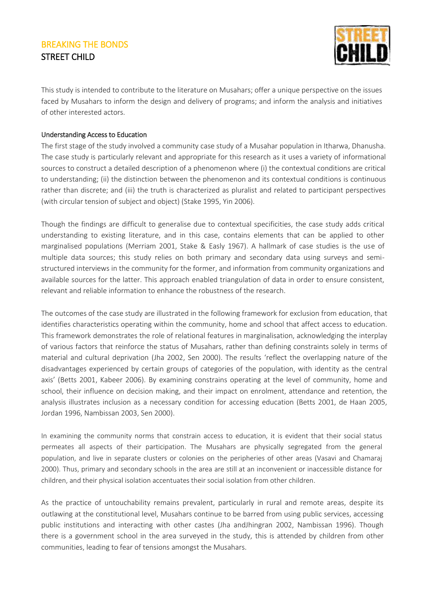

This study is intended to contribute to the literature on Musahars; offer a unique perspective on the issues faced by Musahars to inform the design and delivery of programs; and inform the analysis and initiatives of other interested actors.

#### Understanding Access to Education

The first stage of the study involved a community case study of a Musahar population in Itharwa, Dhanusha. The case study is particularly relevant and appropriate for this research as it uses a variety of informational sources to construct a detailed description of a phenomenon where (i) the contextual conditions are critical to understanding; (ii) the distinction between the phenomenon and its contextual conditions is continuous rather than discrete; and (iii) the truth is characterized as pluralist and related to participant perspectives (with circular tension of subject and object) (Stake 1995, Yin 2006).

Though the findings are difficult to generalise due to contextual specificities, the case study adds critical understanding to existing literature, and in this case, contains elements that can be applied to other marginalised populations (Merriam 2001, Stake & Easly 1967). A hallmark of case studies is the use of multiple data sources; this study relies on both primary and secondary data using surveys and semistructured interviews in the community for the former, and information from community organizations and available sources for the latter. This approach enabled triangulation of data in order to ensure consistent, relevant and reliable information to enhance the robustness of the research.

The outcomes of the case study are illustrated in the following framework for exclusion from education, that identifies characteristics operating within the community, home and school that affect access to education. This framework demonstrates the role of relational features in marginalisation, acknowledging the interplay of various factors that reinforce the status of Musahars, rather than defining constraints solely in terms of material and cultural deprivation (Jha 2002, Sen 2000). The results 'reflect the overlapping nature of the disadvantages experienced by certain groups of categories of the population, with identity as the central axis' (Betts 2001, Kabeer 2006). By examining constrains operating at the level of community, home and school, their influence on decision making, and their impact on enrolment, attendance and retention, the analysis illustrates inclusion as a necessary condition for accessing education (Betts 2001, de Haan 2005, Jordan 1996, Nambissan 2003, Sen 2000).

In examining the community norms that constrain access to education, it is evident that their social status permeates all aspects of their participation. The Musahars are physically segregated from the general population, and live in separate clusters or colonies on the peripheries of other areas (Vasavi and Chamaraj 2000). Thus, primary and secondary schools in the area are still at an inconvenient or inaccessible distance for children, and their physical isolation accentuates their social isolation from other children.

As the practice of untouchability remains prevalent, particularly in rural and remote areas, despite its outlawing at the constitutional level, Musahars continue to be barred from using public services, accessing public institutions and interacting with other castes (Jha andJhingran 2002, Nambissan 1996). Though there is a government school in the area surveyed in the study, this is attended by children from other communities, leading to fear of tensions amongst the Musahars.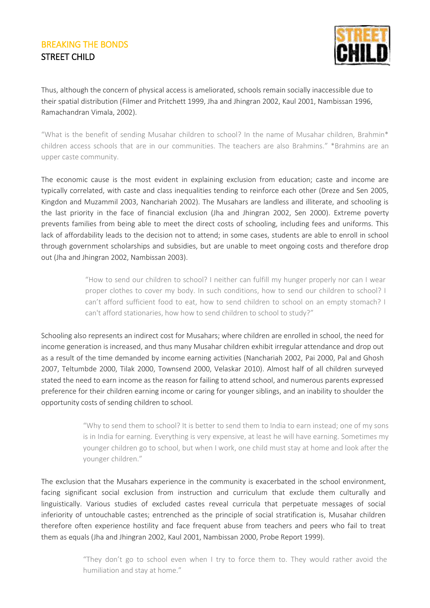

Thus, although the concern of physical access is ameliorated, schools remain socially inaccessible due to their spatial distribution (Filmer and Pritchett 1999, Jha and Jhingran 2002, Kaul 2001, Nambissan 1996, Ramachandran Vimala, 2002).

"What is the benefit of sending Musahar children to school? In the name of Musahar children, Brahmin\* children access schools that are in our communities. The teachers are also Brahmins." \*Brahmins are an upper caste community.

The economic cause is the most evident in explaining exclusion from education; caste and income are typically correlated, with caste and class inequalities tending to reinforce each other (Dreze and Sen 2005, Kingdon and Muzammil 2003, Nanchariah 2002). The Musahars are landless and illiterate, and schooling is the last priority in the face of financial exclusion (Jha and Jhingran 2002, Sen 2000). Extreme poverty prevents families from being able to meet the direct costs of schooling, including fees and uniforms. This lack of affordability leads to the decision not to attend; in some cases, students are able to enroll in school through government scholarships and subsidies, but are unable to meet ongoing costs and therefore drop out (Jha and Jhingran 2002, Nambissan 2003).

> "How to send our children to school? I neither can fulfill my hunger properly nor can I wear proper clothes to cover my body. In such conditions, how to send our children to school? I can't afford sufficient food to eat, how to send children to school on an empty stomach? I can't afford stationaries, how how to send children to school to study?"

Schooling also represents an indirect cost for Musahars; where children are enrolled in school, the need for income generation is increased, and thus many Musahar children exhibit irregular attendance and drop out as a result of the time demanded by income earning activities (Nanchariah 2002, Pai 2000, Pal and Ghosh 2007, Teltumbde 2000, Tilak 2000, Townsend 2000, Velaskar 2010). Almost half of all children surveyed stated the need to earn income as the reason for failing to attend school, and numerous parents expressed preference for their children earning income or caring for younger siblings, and an inability to shoulder the opportunity costs of sending children to school.

> "Why to send them to school? It is better to send them to India to earn instead; one of my sons is in India for earning. Everything is very expensive, at least he will have earning. Sometimes my younger children go to school, but when I work, one child must stay at home and look after the younger children."

The exclusion that the Musahars experience in the community is exacerbated in the school environment, facing significant social exclusion from instruction and curriculum that exclude them culturally and linguistically. Various studies of excluded castes reveal curricula that perpetuate messages of social inferiority of untouchable castes; entrenched as the principle of social stratification is, Musahar children therefore often experience hostility and face frequent abuse from teachers and peers who fail to treat them as equals (Jha and Jhingran 2002, Kaul 2001, Nambissan 2000, Probe Report 1999).

> "They don't go to school even when I try to force them to. They would rather avoid the humiliation and stay at home."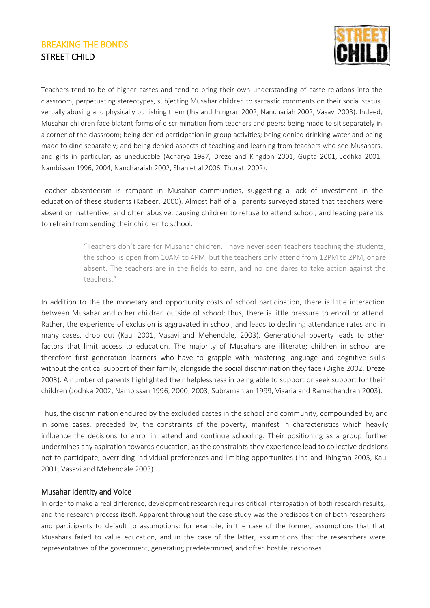

Teachers tend to be of higher castes and tend to bring their own understanding of caste relations into the classroom, perpetuating stereotypes, subjecting Musahar children to sarcastic comments on their social status, verbally abusing and physically punishing them (Jha and Jhingran 2002, Nanchariah 2002, Vasavi 2003). Indeed, Musahar children face blatant forms of discrimination from teachers and peers: being made to sit separately in a corner of the classroom; being denied participation in group activities; being denied drinking water and being made to dine separately; and being denied aspects of teaching and learning from teachers who see Musahars, and girls in particular, as uneducable (Acharya 1987, Dreze and Kingdon 2001, Gupta 2001, Jodhka 2001, Nambissan 1996, 2004, Nancharaiah 2002, Shah et al 2006, Thorat, 2002).

Teacher absenteeism is rampant in Musahar communities, suggesting a lack of investment in the education of these students (Kabeer, 2000). Almost half of all parents surveyed stated that teachers were absent or inattentive, and often abusive, causing children to refuse to attend school, and leading parents to refrain from sending their children to school.

> "Teachers don't care for Musahar children. I have never seen teachers teaching the students; the school is open from 10AM to 4PM, but the teachers only attend from 12PM to 2PM, or are absent. The teachers are in the fields to earn, and no one dares to take action against the teachers."

In addition to the the monetary and opportunity costs of school participation, there is little interaction between Musahar and other children outside of school; thus, there is little pressure to enroll or attend. Rather, the experience of exclusion is aggravated in school, and leads to declining attendance rates and in many cases, drop out (Kaul 2001, Vasavi and Mehendale, 2003). Generational poverty leads to other factors that limit access to education. The majority of Musahars are illiterate; children in school are therefore first generation learners who have to grapple with mastering language and cognitive skills without the critical support of their family, alongside the social discrimination they face (Dighe 2002, Dreze 2003). A number of parents highlighted their helplessness in being able to support or seek support for their children (Jodhka 2002, Nambissan 1996, 2000, 2003, Subramanian 1999, Visaria and Ramachandran 2003).

Thus, the discrimination endured by the excluded castes in the school and community, compounded by, and in some cases, preceded by, the constraints of the poverty, manifest in characteristics which heavily influence the decisions to enrol in, attend and continue schooling. Their positioning as a group further undermines any aspiration towards education, as the constraints they experience lead to collective decisions not to participate, overriding individual preferences and limiting opportunites (Jha and Jhingran 2005, Kaul 2001, Vasavi and Mehendale 2003).

#### Musahar Identity and Voice

In order to make a real difference, development research requires critical interrogation of both research results, and the research process itself. Apparent throughout the case study was the predisposition of both researchers and participants to default to assumptions: for example, in the case of the former, assumptions that that Musahars failed to value education, and in the case of the latter, assumptions that the researchers were representatives of the government, generating predetermined, and often hostile, responses.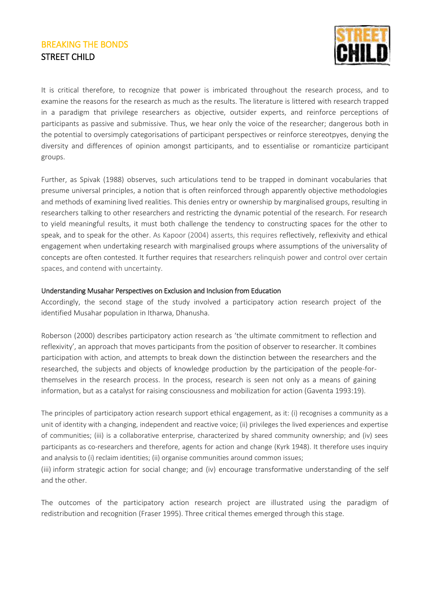

It is critical therefore, to recognize that power is imbricated throughout the research process, and to examine the reasons for the research as much as the results. The literature is littered with research trapped in a paradigm that privilege researchers as objective, outsider experts, and reinforce perceptions of participants as passive and submissive. Thus, we hear only the voice of the researcher; dangerous both in the potential to oversimply categorisations of participant perspectives or reinforce stereotpyes, denying the diversity and differences of opinion amongst participants, and to essentialise or romanticize participant groups.

Further, as Spivak (1988) observes, such articulations tend to be trapped in dominant vocabularies that presume universal principles, a notion that is often reinforced through apparently objective methodologies and methods of examining lived realities. This denies entry or ownership by marginalised groups, resulting in researchers talking to other researchers and restricting the dynamic potential of the research. For research to yield meaningful results, it must both challenge the tendency to constructing spaces for the other to speak, and to speak for the other. As Kapoor (2004) asserts, this requires reflectively, reflexivity and ethical engagement when undertaking research with marginalised groups where assumptions of the universality of concepts are often contested. It further requires that researchers relinquish power and control over certain spaces, and contend with uncertainty.

#### Understanding Musahar Perspectives on Exclusion and Inclusion from Education

Accordingly, the second stage of the study involved a participatory action research project of the identified Musahar population in Itharwa, Dhanusha.

Roberson (2000) describes participatory action research as 'the ultimate commitment to reflection and reflexivity', an approach that moves participants from the position of observer to researcher. It combines participation with action, and attempts to break down the distinction between the researchers and the researched, the subjects and objects of knowledge production by the participation of the people-forthemselves in the research process. In the process, research is seen not only as a means of gaining information, but as a catalyst for raising consciousness and mobilization for action (Gaventa 1993:19).

The principles of participatory action research support ethical engagement, as it: (i) recognises a community as a unit of identity with a changing, independent and reactive voice; (ii) privileges the lived experiences and expertise of communities; (iii) is a collaborative enterprise, characterized by shared community ownership; and (iv) sees participants as co-researchers and therefore, agents for action and change (Kyrk 1948). It therefore uses inquiry and analysis to (i) reclaim identities; (ii) organise communities around common issues;

(iii) inform strategic action for social change; and (iv) encourage transformative understanding of the self and the other.

The outcomes of the participatory action research project are illustrated using the paradigm of redistribution and recognition (Fraser 1995). Three critical themes emerged through this stage.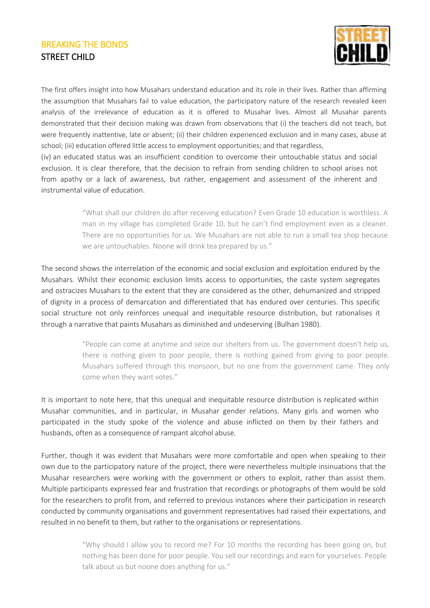

The first offers insight into how Musahars understand education and its role in their lives. Rather than affirming the assumption that Musahars fail to value education, the participatory nature of the research revealed keen analysis of the irrelevance of education as it is offered to Musahar lives. Almost all Musahar parents demonstrated that their decision making was drawn from observations that (i) the teachers did not teach, but were frequently inattentive, late or absent; (ii) their children experienced exclusion and in many cases, abuse at school; (iii) education offered little access to employment opportunities; and that regardless,

(iv) an educated status was an insufficient condition to overcome their untouchable status and social exclusion. It is clear therefore, that the decision to refrain from sending children to school arises not from apathy or a lack of awareness, but rather, engagement and assessment of the inherent and instrumental value of education.

> "What shall our children do after receiving education? Even Grade 10 education is worthless. A man in my village has completed Grade 10, but he can't find employment even as a cleaner. There are no opportunities for us. We Musahars are not able to run a small tea shop because we are untouchables. Noone will drink tea prepared by us."

The second shows the interrelation of the economic and social exclusion and exploitation endured by the Musahars. Whilst their economic exclusion limits access to opportunities, the caste system segregates and ostracizes Musahars to the extent that they are considered as the other, dehumanized and stripped of dignity in a process of demarcation and differentiated that has endured over centuries. This specific social structure not only reinforces unequal and inequitable resource distribution, but rationalises it through a narrative that paints Musahars as diminished and undeserving (Bulhan 1980).

> "People can come at anytime and seize our shelters from us. The government doesn't help us, there is nothing given to poor people, there is nothing gained from giving to poor people. Musahars suffered through this monsoon, but no one from the government came. They only come when they want votes."

It is important to note here, that this unequal and inequitable resource distribution is replicated within Musahar communities, and in particular, in Musahar gender relations. Many girls and women who participated in the study spoke of the violence and abuse inflicted on them by their fathers and husbands, often as a consequence of rampant alcohol abuse.

Further, though it was evident that Musahars were more comfortable and open when speaking to their own due to the participatory nature of the project, there were nevertheless multiple insinuations that the Musahar researchers were working with the government or others to exploit, rather than assist them. Multiple participants expressed fear and frustration that recordings or photographs of them would be sold for the researchers to profit from, and referred to previous instances where their participation in research conducted by community organisations and government representatives had raised their expectations, and resulted in no benefit to them, but rather to the organisations or representations.

> "Why should I allow you to record me? For 10 months the recording has been going on, but nothing has been done for poor people. You sell our recordings and earn for yourselves. People talk about us but noone does anything for us."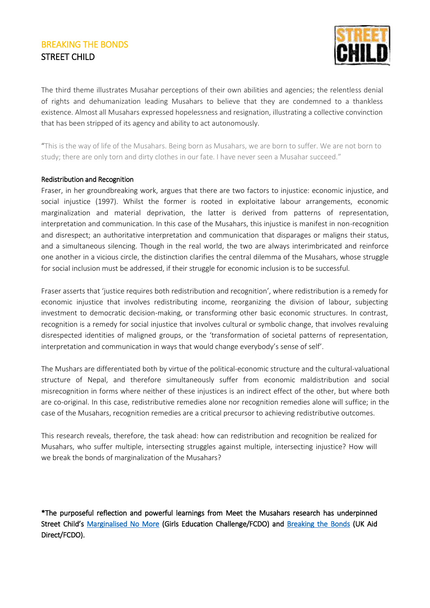

The third theme illustrates Musahar perceptions of their own abilities and agencies; the relentless denial of rights and dehumanization leading Musahars to believe that they are condemned to a thankless existence. Almost all Musahars expressed hopelessness and resignation, illustrating a collective convinction that has been stripped of its agency and ability to act autonomously.

"This is the way of life of the Musahars. Being born as Musahars, we are born to suffer. We are not born to study; there are only torn and dirty clothes in our fate. I have never seen a Musahar succeed."

#### Redistribution and Recognition

Fraser, in her groundbreaking work, argues that there are two factors to injustice: economic injustice, and social injustice (1997). Whilst the former is rooted in exploitative labour arrangements, economic marginalization and material deprivation, the latter is derived from patterns of representation, interpretation and communication. In this case of the Musahars, this injustice is manifest in non-recognition and disrespect; an authoritative interpretation and communication that disparages or maligns their status, and a simultaneous silencing. Though in the real world, the two are always interimbricated and reinforce one another in a vicious circle, the distinction clarifies the central dilemma of the Musahars, whose struggle for social inclusion must be addressed, if their struggle for economic inclusion is to be successful.

Fraser asserts that 'justice requires both redistribution and recognition', where redistribution is a remedy for economic injustice that involves redistributing income, reorganizing the division of labour, subjecting investment to democratic decision-making, or transforming other basic economic structures. In contrast, recognition is a remedy for social injustice that involves cultural or symbolic change, that involves revaluing disrespected identities of maligned groups, or the 'transformation of societal patterns of representation, interpretation and communication in ways that would change everybody's sense of self'.

The Mushars are differentiated both by virtue of the political-economic structure and the cultural-valuational structure of Nepal, and therefore simultaneously suffer from economic maldistribution and social misrecognition in forms where neither of these injustices is an indirect effect of the other, but where both are co-original. In this case, redistributive remedies alone nor recognition remedies alone will suffice; in the case of the Musahars, recognition remedies are a critical precursor to achieving redistributive outcomes.

This research reveals, therefore, the task ahead: how can redistribution and recognition be realized for Musahars, who suffer multiple, intersecting struggles against multiple, intersecting injustice? How will we break the bonds of marginalization of the Musahars?

\*The purposeful reflection and powerful learnings from Meet the Musahars research has underpinned Street Child's [Marginalised No More](https://www.ungei.org/publication/case-study-street-child-marginalised-no-more) (Girls Education Challenge/FCDO) and [Breaking the Bonds](https://www.street-child.co.uk/blog/2020/10/11/silent-hero-against-child-marriage) (UK Aid Direct/FCDO).